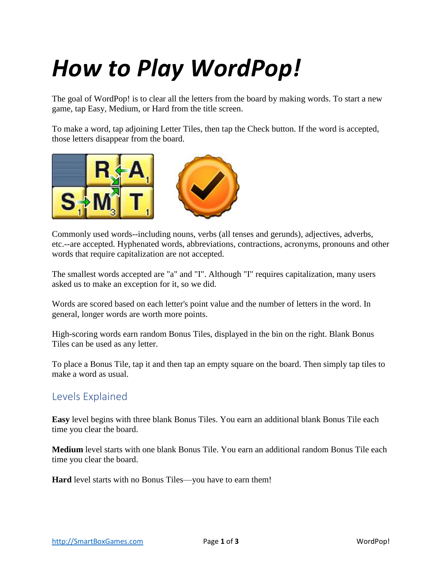# *How to Play WordPop!*

The goal of WordPop! is to clear all the letters from the board by making words. To start a new game, tap Easy, Medium, or Hard from the title screen.

To make a word, tap adjoining Letter Tiles, then tap the Check button. If the word is accepted, those letters disappear from the board.



Commonly used words--including nouns, verbs (all tenses and gerunds), adjectives, adverbs, etc.--are accepted. Hyphenated words, abbreviations, contractions, acronyms, pronouns and other words that require capitalization are not accepted.

The smallest words accepted are "a" and "I". Although "I" requires capitalization, many users asked us to make an exception for it, so we did.

Words are scored based on each letter's point value and the number of letters in the word. In general, longer words are worth more points.

High-scoring words earn random Bonus Tiles, displayed in the bin on the right. Blank Bonus Tiles can be used as any letter.

To place a Bonus Tile, tap it and then tap an empty square on the board. Then simply tap tiles to make a word as usual.

#### Levels Explained

**Easy** level begins with three blank Bonus Tiles. You earn an additional blank Bonus Tile each time you clear the board.

**Medium** level starts with one blank Bonus Tile. You earn an additional random Bonus Tile each time you clear the board.

**Hard** level starts with no Bonus Tiles—you have to earn them!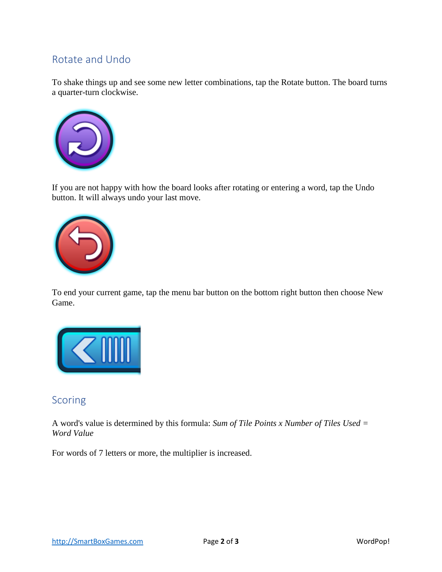## Rotate and Undo

To shake things up and see some new letter combinations, tap the Rotate button. The board turns a quarter-turn clockwise.



If you are not happy with how the board looks after rotating or entering a word, tap the Undo button. It will always undo your last move.



To end your current game, tap the menu bar button on the bottom right button then choose New Game.



#### Scoring

A word's value is determined by this formula: *Sum of Tile Points x Number of Tiles Used = Word Value* 

For words of 7 letters or more, the multiplier is increased.